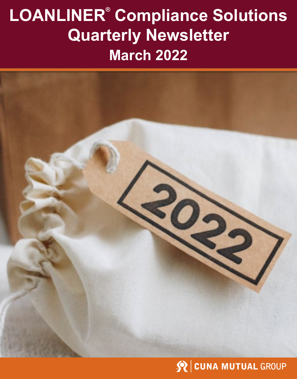# **LOANLINER® Compliance Solutions Quarterly Newsletter March 2022**



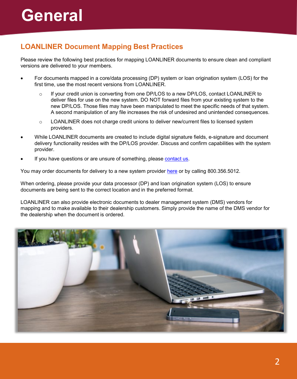## **LOANLINER Document Mapping Best Practices**

Please review the following best practices for mapping LOANLINER documents to ensure clean and compliant versions are delivered to your members.

- For documents mapped in a core/data processing (DP) system or loan origination system (LOS) for the first time, use the most recent versions from LOANLINER.
	- $\circ$  If your credit union is converting from one DP/LOS to a new DP/LOS, contact LOANLINER to deliver files for use on the new system. DO NOT forward files from your existing system to the new DP/LOS. Those files may have been manipulated to meet the specific needs of that system. A second manipulation of any file increases the risk of undesired and unintended consequences.
	- o LOANLINER does not charge credit unions to deliver new/current files to licensed system providers.
- While LOANLINER documents are created to include digital signature fields, e-signature and document delivery functionality resides with the DP/LOS provider. Discuss and confirm capabilities with the system provider.
- If you have questions or are unsure of something, please [contact us](https://www.cunamutual.com/resource-library/lending/secure/loanliner-compliance/get-more-information).

You may order documents for delivery to a new system provider [here](https://www.cunamutual.com/resource-library/lending/secure/loanliner-compliance/order-documents) or by calling 800.356.5012.

When ordering, please provide your data processor (DP) and loan origination system (LOS) to ensure documents are being sent to the correct location and in the preferred format.

LOANLINER can also provide electronic documents to dealer management system (DMS) vendors for mapping and to make available to their dealership customers. Simply provide the name of the DMS vendor for the dealership when the document is ordered.

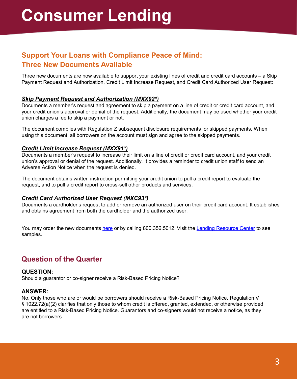## **Support Your Loans with Compliance Peace of Mind: Three New Documents Available**

Three new documents are now available to support your existing lines of credit and credit card accounts – a Skip Payment Request and Authorization, Credit Limit Increase Request, and Credit Card Authorized User Request:

### *Skip Payment Request and Authorization (MXX92\*)*

Documents a member's request and agreement to skip a payment on a line of credit or credit card account, and your credit union's approval or denial of the request. Additionally, the document may be used whether your credit union charges a fee to skip a payment or not.

The document complies with Regulation Z subsequent disclosure requirements for skipped payments. When using this document, all borrowers on the account must sign and agree to the skipped payments.

### *Credit Limit Increase Request (MXX91\*)*

Documents a member's request to increase their limit on a line of credit or credit card account, and your credit union's approval or denial of the request. Additionally, it provides a reminder to credit union staff to send an Adverse Action Notice when the request is denied.

The document obtains written instruction permitting your credit union to pull a credit report to evaluate the request, and to pull a credit report to cross-sell other products and services.

### *Credit Card Authorized User Request (MXC93\*)*

Documents a cardholder's request to add or remove an authorized user on their credit card account. It establishes and obtains agreement from both the cardholder and the authorized user.

You may order the new documents [here](https://www.cunamutual.com/resource-library/lending/secure/loanliner-compliance/order-documents/order-new-documents) or by calling 800.356.5012. Visit the [Lending Resource Center](https://www.cunamutual.com/resource-library/lending/secure/loanliner-compliance/document-resources) to see samples.

## **Question of the Quarter**

### **QUESTION:**

Should a guarantor or co-signer receive a Risk-Based Pricing Notice?

### **ANSWER:**

No. Only those who are or would be borrowers should receive a Risk-Based Pricing Notice. Regulation V § 1022.72(a)(2) clarifies that only those to whom credit is offered, granted, extended, or otherwise provided are entitled to a Risk-Based Pricing Notice. Guarantors and co-signers would not receive a notice, as they are not borrowers.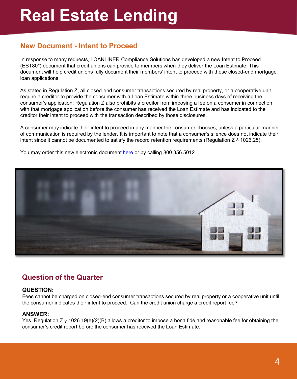## **New Document - Intent to Proceed**

In response to many requests, LOANLINER Compliance Solutions has developed a new Intent to Proceed (EST80\*) document that credit unions can provide to members when they deliver the Loan Estimate. This document will help credit unions fully document their members' intent to proceed with these closed-end mortgage loan applications.

As stated in Regulation Z, all closed-end consumer transactions secured by real property, or a cooperative unit require a creditor to provide the consumer with a Loan Estimate within three business days of receiving the consumer's application. Regulation Z also prohibits a creditor from imposing a fee on a consumer in connection with that mortgage application before the consumer has received the Loan Estimate and has indicated to the creditor their intent to proceed with the transaction described by those disclosures.

A consumer may indicate their intent to proceed in any manner the consumer chooses, unless a particular manner of communication is required by the lender. It is important to note that a consumer's silence does not indicate their intent since it cannot be documented to satisfy the record retention requirements (Regulation Z § 1026.25).

You may order this new electronic document [here](https://www.cunamutual.com/resource-library/lending/secure/loanliner-compliance/order-documents) or by calling 800.356.5012.



## **Question of the Quarter**

### **QUESTION:**

Fees cannot be charged on closed-end consumer transactions secured by real property or a cooperative unit until the consumer indicates their intent to proceed. Can the credit union charge a credit report fee?

### **ANSWER:**

Yes. Regulation Z § 1026.19(e)(2)(B) allows a creditor to impose a bona fide and reasonable fee for obtaining the consumer's credit report before the consumer has received the Loan Estimate.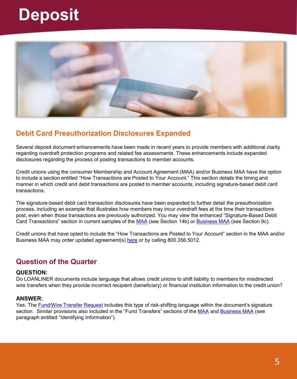## **Deposit**



## **Debit Card Preauthorization Disclosures Expanded**

Several deposit document enhancements have been made in recent years to provide members with additional clarity regarding overdraft protection programs and related fee assessments. These enhancements include expanded disclosures regarding the process of posting transactions to member accounts.

Credit unions using the consumer Membership and Account Agreement (MAA) and/or Business MAA have the option to include a section entitled "How Transactions are Posted to Your Account." This section details the timing and manner in which credit and debit transactions are posted to member accounts, including signature-based debit card transactions.

The signature-based debit card transaction disclosures have been expanded to further detail the preauthorization process, including an example that illustrates how members may incur overdraft fees at the time their transactions post, even when those transactions are previously authorized. You may view the enhanced "Signature-Based Debit Card Transactions" section in current samples of the [MAA](https://www.cunamutual.com/-/media/cunamutual/lending/loanliner-document-solutions/secure/loanliner-document-samples/consumer-deposit/d1000.pdf) (see Section 14b) or [Business MAA](https://www.cunamutual.com/-/media/cunamutual/lending/loanliner-document-solutions/secure/loanliner-document-samples/business-services/db100.pdf) (see Section 9c).

Credit unions that have opted to include the "How Transactions are Posted to Your Account" section in the MAA and/or Business MAA may order updated agreement(s) [here](https://www.cunamutual.com/resource-library/lending/secure/loanliner-compliance/order-documents/order-new-documents) or by calling 800.356.5012.

## **Question of the Quarter**

### **QUESTION:**

Do LOANLINER documents include language that allows credit unions to shift liability to members for misdirected wire transfers when they provide incorrect recipient (beneficiary) or financial institution information to the credit union?

### **ANSWER:**

Yes. The [Fund/Wire Transfer Request](https://www.cunamutual.com/-/media/cunamutual/lending/loanliner-document-solutions/secure/loanliner-document-samples/business-services/d2300.pdf) includes this type of risk-shifting language within the document's signature section. Similar provisions also included in the "Fund Transfers" sections of the [MAA](https://www.cunamutual.com/-/media/cunamutual/lending/loanliner-document-solutions/secure/loanliner-document-samples/consumer-deposit/d1000.pdf) and [Business MAA](https://www.cunamutual.com/-/media/cunamutual/lending/loanliner-document-solutions/secure/loanliner-document-samples/business-services/db100.pdf) (see paragraph entitled "Identifying Information").